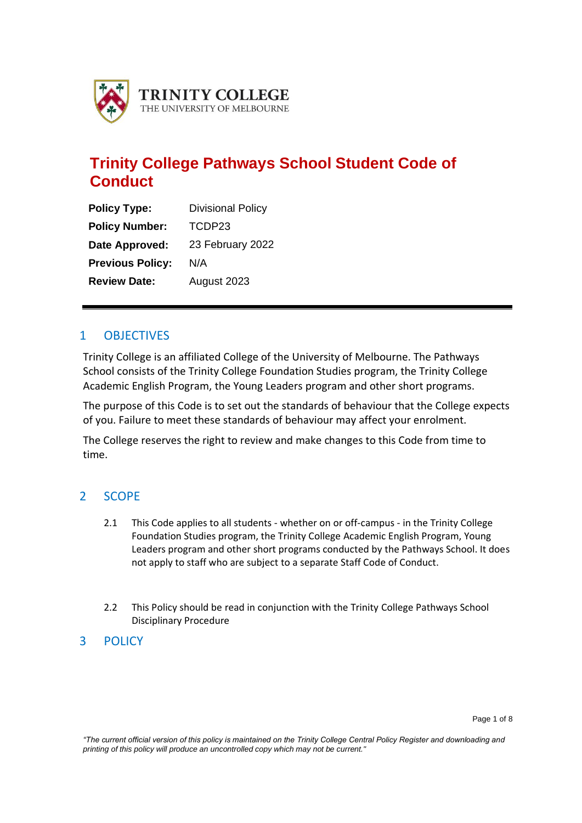

# **Trinity College Pathways School Student Code of Conduct**

| <b>Policy Type:</b>     | <b>Divisional Policy</b> |  |  |
|-------------------------|--------------------------|--|--|
| <b>Policy Number:</b>   | TCDP23                   |  |  |
| Date Approved:          | 23 February 2022         |  |  |
| <b>Previous Policy:</b> | N/A                      |  |  |
| <b>Review Date:</b>     | August 2023              |  |  |

# 1 OBJECTIVES

Trinity College is an affiliated College of the University of Melbourne. The Pathways School consists of the Trinity College Foundation Studies program, the Trinity College Academic English Program, the Young Leaders program and other short programs.

The purpose of this Code is to set out the standards of behaviour that the College expects of you. Failure to meet these standards of behaviour may affect your enrolment.

The College reserves the right to review and make changes to this Code from time to time.

### 2 SCOPE

- 2.1 This Code applies to all students whether on or off-campus in the Trinity College Foundation Studies program, the Trinity College Academic English Program, Young Leaders program and other short programs conducted by the Pathways School. It does not apply to staff who are subject to a separate Staff Code of Conduct.
- 2.2 This Policy should be read in conjunction with the Trinity College Pathways School Disciplinary Procedure

### 3 POLICY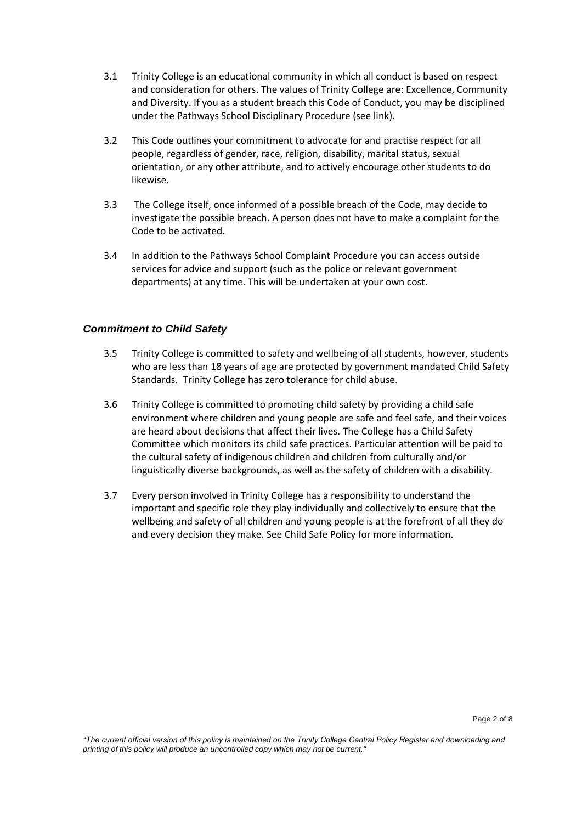- 3.1 Trinity College is an educational community in which all conduct is based on respect and consideration for others. The values of Trinity College are: Excellence, Community and Diversity. If you as a student breach this Code of Conduct, you may be disciplined under the Pathways School Disciplinary Procedure (see link).
- 3.2 This Code outlines your commitment to advocate for and practise respect for all people, regardless of gender, race, religion, disability, marital status, sexual orientation, or any other attribute, and to actively encourage other students to do likewise.
- 3.3 The College itself, once informed of a possible breach of the Code, may decide to investigate the possible breach. A person does not have to make a complaint for the Code to be activated.
- 3.4 In addition to the Pathways School Complaint Procedure you can access outside services for advice and support (such as the police or relevant government departments) at any time. This will be undertaken at your own cost.

### *Commitment to Child Safety*

- 3.5 Trinity College is committed to safety and wellbeing of all students, however, students who are less than 18 years of age are protected by government mandated Child Safety Standards. Trinity College has zero tolerance for child abuse.
- 3.6 Trinity College is committed to promoting child safety by providing a child safe environment where children and young people are safe and feel safe, and their voices are heard about decisions that affect their lives. The College has a Child Safety Committee which monitors its child safe practices. Particular attention will be paid to the cultural safety of indigenous children and children from culturally and/or linguistically diverse backgrounds, as well as the safety of children with a disability.
- 3.7 Every person involved in Trinity College has a responsibility to understand the important and specific role they play individually and collectively to ensure that the wellbeing and safety of all children and young people is at the forefront of all they do and every decision they make. See Child Safe Policy for more information.

*"The current official version of this policy is maintained on the Trinity College Central Policy Register and downloading and printing of this policy will produce an uncontrolled copy which may not be current."*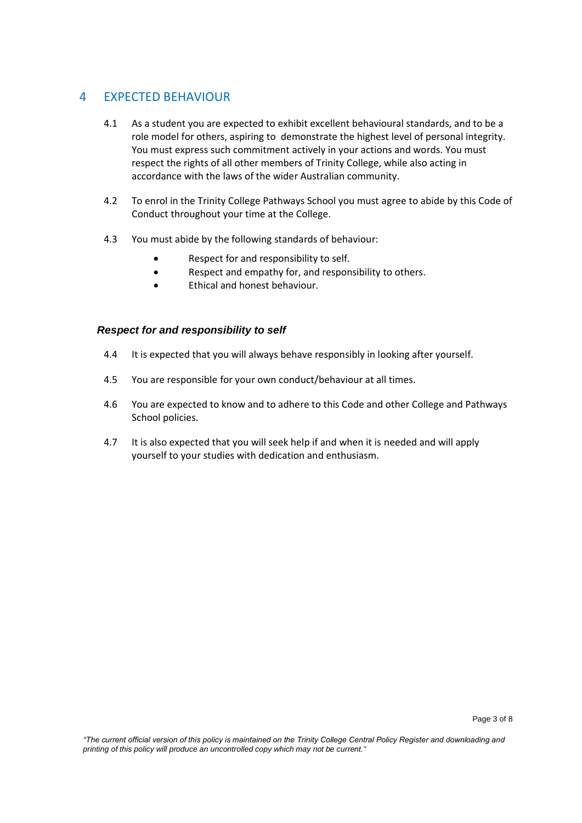# 4 EXPECTED BEHAVIOUR

- 4.1 As a student you are expected to exhibit excellent behavioural standards, and to be a role model for others, aspiring to demonstrate the highest level of personal integrity. You must express such commitment actively in your actions and words. You must respect the rights of all other members of Trinity College, while also acting in accordance with the laws of the wider Australian community.
- 4.2 To enrol in the Trinity College Pathways School you must agree to abide by this Code of Conduct throughout your time at the College.
- 4.3 You must abide by the following standards of behaviour:
	- Respect for and responsibility to self.
	- Respect and empathy for, and responsibility to others.
	- Ethical and honest behaviour.

#### *Respect for and responsibility to self*

- 4.4 It is expected that you will always behave responsibly in looking after yourself.
- 4.5 You are responsible for your own conduct/behaviour at all times.
- 4.6 You are expected to know and to adhere to this Code and other College and Pathways School policies.
- 4.7 It is also expected that you will seek help if and when it is needed and will apply yourself to your studies with dedication and enthusiasm.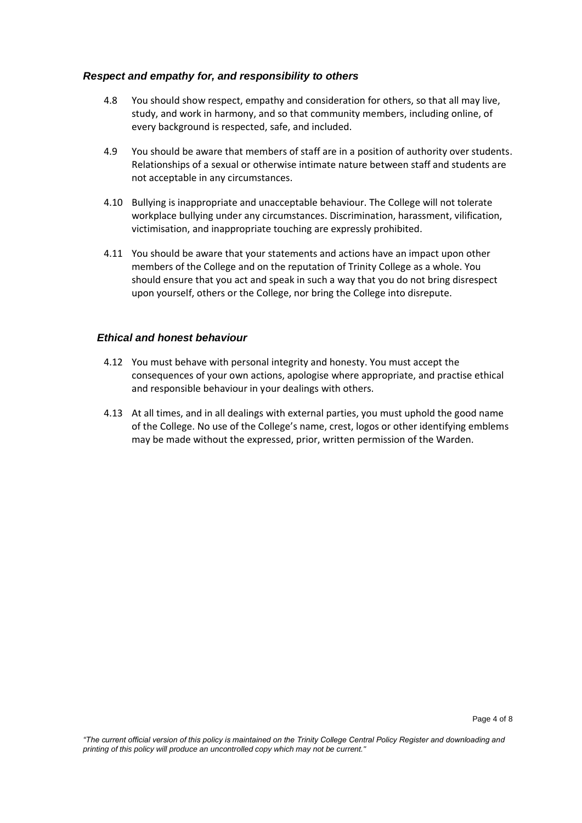#### *Respect and empathy for, and responsibility to others*

- 4.8 You should show respect, empathy and consideration for others, so that all may live, study, and work in harmony, and so that community members, including online, of every background is respected, safe, and included.
- 4.9 You should be aware that members of staff are in a position of authority over students. Relationships of a sexual or otherwise intimate nature between staff and students are not acceptable in any circumstances.
- 4.10 Bullying is inappropriate and unacceptable behaviour. The College will not tolerate workplace bullying under any circumstances. Discrimination, harassment, vilification, victimisation, and inappropriate touching are expressly prohibited.
- 4.11 You should be aware that your statements and actions have an impact upon other members of the College and on the reputation of Trinity College as a whole. You should ensure that you act and speak in such a way that you do not bring disrespect upon yourself, others or the College, nor bring the College into disrepute.

#### *Ethical and honest behaviour*

- 4.12 You must behave with personal integrity and honesty. You must accept the consequences of your own actions, apologise where appropriate, and practise ethical and responsible behaviour in your dealings with others.
- 4.13 At all times, and in all dealings with external parties, you must uphold the good name of the College. No use of the College's name, crest, logos or other identifying emblems may be made without the expressed, prior, written permission of the Warden.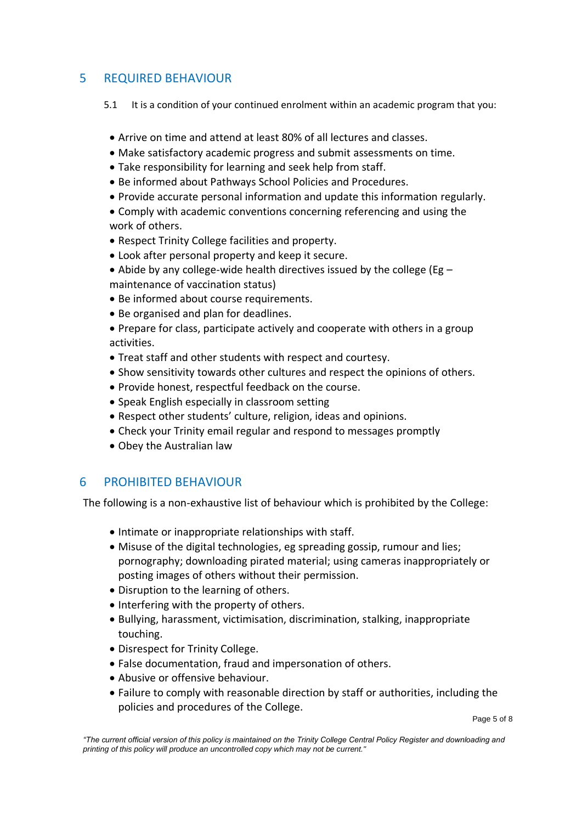# 5 REQUIRED BEHAVIOUR

- 5.1 It is a condition of your continued enrolment within an academic program that you:
- Arrive on time and attend at least 80% of all lectures and classes.
- Make satisfactory academic progress and submit assessments on time.
- Take responsibility for learning and seek help from staff.
- Be informed about Pathways School Policies and Procedures.
- Provide accurate personal information and update this information regularly.
- Comply with academic conventions concerning referencing and using the work of others.
- Respect Trinity College facilities and property.
- Look after personal property and keep it secure.
- Abide by any college-wide health directives issued by the college (Eg  $$ maintenance of vaccination status)
- Be informed about course requirements.
- Be organised and plan for deadlines.
- Prepare for class, participate actively and cooperate with others in a group activities.
- Treat staff and other students with respect and courtesy.
- Show sensitivity towards other cultures and respect the opinions of others.
- Provide honest, respectful feedback on the course.
- Speak English especially in classroom setting
- Respect other students' culture, religion, ideas and opinions.
- Check your Trinity email regular and respond to messages promptly
- Obey the Australian law

# 6 PROHIBITED BEHAVIOUR

The following is a non-exhaustive list of behaviour which is prohibited by the College:

- Intimate or inappropriate relationships with staff.
- Misuse of the digital technologies, eg spreading gossip, rumour and lies; pornography; downloading pirated material; using cameras inappropriately or posting images of others without their permission.
- Disruption to the learning of others.
- Interfering with the property of others.
- Bullying, harassment, victimisation, discrimination, stalking, inappropriate touching.
- Disrespect for Trinity College.
- False documentation, fraud and impersonation of others.
- Abusive or offensive behaviour.
- Failure to comply with reasonable direction by staff or authorities, including the policies and procedures of the College.

Page 5 of 8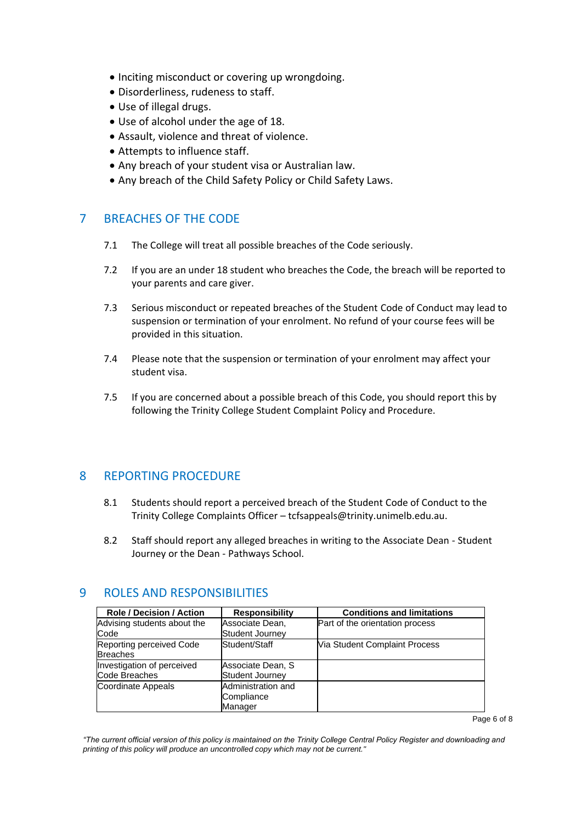- Inciting misconduct or covering up wrongdoing.
- Disorderliness, rudeness to staff.
- Use of illegal drugs.
- Use of alcohol under the age of 18.
- Assault, violence and threat of violence.
- Attempts to influence staff.
- Any breach of your student visa or Australian law.
- Any breach of the Child Safety Policy or Child Safety Laws.

# 7 BREACHES OF THE CODE

- 7.1 The College will treat all possible breaches of the Code seriously.
- 7.2 If you are an under 18 student who breaches the Code, the breach will be reported to your parents and care giver.
- 7.3 Serious misconduct or repeated breaches of the Student Code of Conduct may lead to suspension or termination of your enrolment. No refund of your course fees will be provided in this situation.
- 7.4 Please note that the suspension or termination of your enrolment may affect your student visa.
- 7.5 If you are concerned about a possible breach of this Code, you should report this by following the Trinity College Student Complaint Policy and Procedure.

### 8 REPORTING PROCEDURE

- 8.1 Students should report a perceived breach of the Student Code of Conduct to the Trinity College Complaints Officer – tcfsappeals@trinity.unimelb.edu.au.
- 8.2 Staff should report any alleged breaches in writing to the Associate Dean Student Journey or the Dean - Pathways School.

### 9 ROLES AND RESPONSIBILITIES

| <b>Role / Decision / Action</b>             | <b>Responsibility</b>                       | <b>Conditions and limitations</b> |
|---------------------------------------------|---------------------------------------------|-----------------------------------|
| Advising students about the<br>Code         | Associate Dean,<br>Student Journey          | Part of the orientation process   |
| Reporting perceived Code<br><b>Breaches</b> | Student/Staff                               | Via Student Complaint Process     |
| Investigation of perceived<br>Code Breaches | Associate Dean, S<br><b>Student Journey</b> |                                   |
| <b>Coordinate Appeals</b>                   | Administration and<br>Compliance<br>Manager |                                   |

*"The current official version of this policy is maintained on the Trinity College Central Policy Register and downloading and printing of this policy will produce an uncontrolled copy which may not be current."*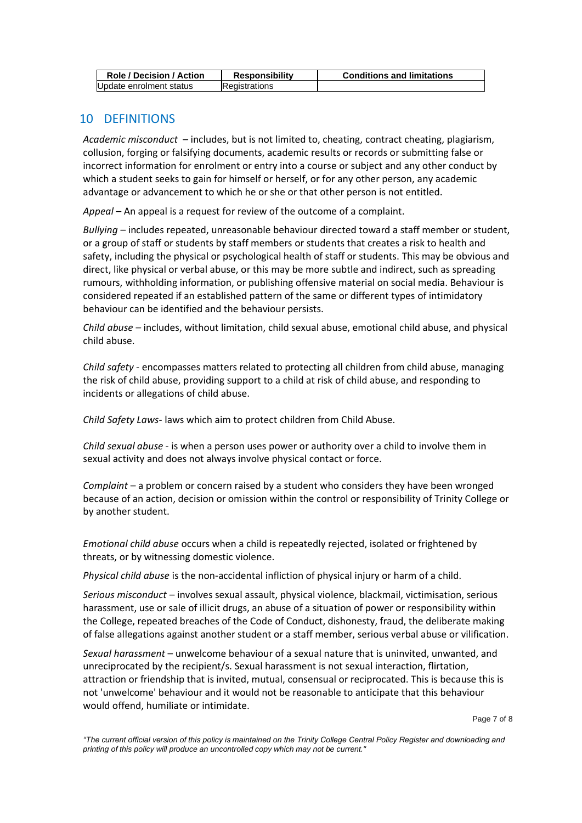| <b>Role / Decision / Action</b> | <b>Responsibility</b> | <b>Conditions and limitations</b> |
|---------------------------------|-----------------------|-----------------------------------|
| Update enrolment status         | <b>Registrations</b>  |                                   |

## 10 DEFINITIONS

*Academic misconduct* – includes, but is not limited to, cheating, contract cheating, plagiarism, collusion, forging or falsifying documents, academic results or records or submitting false or incorrect information for enrolment or entry into a course or subject and any other conduct by which a student seeks to gain for himself or herself, or for any other person, any academic advantage or advancement to which he or she or that other person is not entitled.

*Appeal* – An appeal is a request for review of the outcome of a complaint.

*Bullying* – includes repeated, unreasonable behaviour directed toward a staff member or student, or a group of staff or students by staff members or students that creates a risk to health and safety, including the physical or psychological health of staff or students. This may be obvious and direct, like physical or verbal abuse, or this may be more subtle and indirect, such as spreading rumours, withholding information, or publishing offensive material on social media. Behaviour is considered repeated if an established pattern of the same or different types of intimidatory behaviour can be identified and the behaviour persists.

*Child abuse –* includes, without limitation, child sexual abuse, emotional child abuse, and physical child abuse.

*Child safety -* encompasses matters related to protecting all children from child abuse, managing the risk of child abuse, providing support to a child at risk of child abuse, and responding to incidents or allegations of child abuse.

*Child Safety Laws-* laws which aim to protect children from Child Abuse.

*Child sexual abuse* - is when a person uses power or authority over a child to involve them in sexual activity and does not always involve physical contact or force.

*Complaint* – a problem or concern raised by a student who considers they have been wronged because of an action, decision or omission within the control or responsibility of Trinity College or by another student.

*Emotional child abuse* occurs when a child is repeatedly rejected, isolated or frightened by threats, or by witnessing domestic violence.

*Physical child abuse* is the non-accidental infliction of physical injury or harm of a child.

*Serious misconduct* – involves sexual assault, physical violence, blackmail, victimisation, serious harassment, use or sale of illicit drugs, an abuse of a situation of power or responsibility within the College, repeated breaches of the Code of Conduct, dishonesty, fraud, the deliberate making of false allegations against another student or a staff member, serious verbal abuse or vilification.

*Sexual harassment* – unwelcome behaviour of a sexual nature that is uninvited, unwanted, and unreciprocated by the recipient/s. Sexual harassment is not sexual interaction, flirtation, attraction or friendship that is invited, mutual, consensual or reciprocated. This is because this is not 'unwelcome' behaviour and it would not be reasonable to anticipate that this behaviour would offend, humiliate or intimidate.

Page 7 of 8

*<sup>&</sup>quot;The current official version of this policy is maintained on the Trinity College Central Policy Register and downloading and printing of this policy will produce an uncontrolled copy which may not be current."*